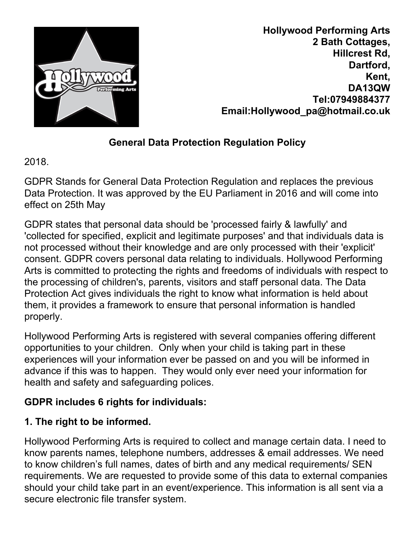

**Hollywood Performing Arts 2 Bath Cottages, Hillcrest Rd, Dartford, Kent, DA13QW Tel:07949884377 Email:Hollywood\_pa@hotmail.co.uk**

# **General Data Protection Regulation Policy**

2018.

GDPR Stands for General Data Protection Regulation and replaces the previous Data Protection. It was approved by the EU Parliament in 2016 and will come into effect on 25th May

GDPR states that personal data should be 'processed fairly & lawfully' and 'collected for specified, explicit and legitimate purposes' and that individuals data is not processed without their knowledge and are only processed with their 'explicit' consent. GDPR covers personal data relating to individuals. Hollywood Performing Arts is committed to protecting the rights and freedoms of individuals with respect to the processing of children's, parents, visitors and staff personal data. The Data Protection Act gives individuals the right to know what information is held about them, it provides a framework to ensure that personal information is handled properly.

Hollywood Performing Arts is registered with several companies offering different opportunities to your children. Only when your child is taking part in these experiences will your information ever be passed on and you will be informed in advance if this was to happen. They would only ever need your information for health and safety and safeguarding polices.

# **GDPR includes 6 rights for individuals:**

# **1. The right to be informed.**

Hollywood Performing Arts is required to collect and manage certain data. I need to know parents names, telephone numbers, addresses & email addresses. We need to know children's full names, dates of birth and any medical requirements/ SEN requirements. We are requested to provide some of this data to external companies should your child take part in an event/experience. This information is all sent via a secure electronic file transfer system.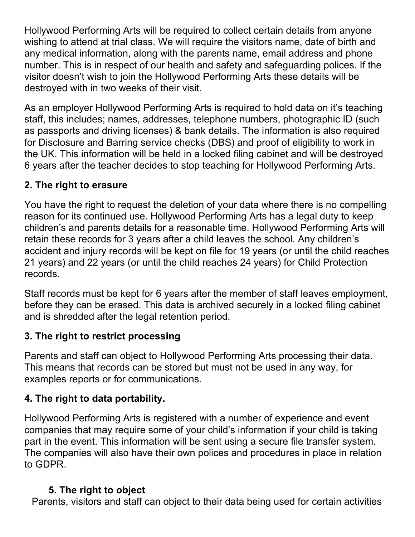Hollywood Performing Arts will be required to collect certain details from anyone wishing to attend at trial class. We will require the visitors name, date of birth and any medical information, along with the parents name, email address and phone number. This is in respect of our health and safety and safeguarding polices. If the visitor doesn't wish to join the Hollywood Performing Arts these details will be destroyed with in two weeks of their visit.

As an employer Hollywood Performing Arts is required to hold data on it's teaching staff, this includes; names, addresses, telephone numbers, photographic ID (such as passports and driving licenses) & bank details. The information is also required for Disclosure and Barring service checks (DBS) and proof of eligibility to work in the UK. This information will be held in a locked filing cabinet and will be destroyed 6 years after the teacher decides to stop teaching for Hollywood Performing Arts.

### **2. The right to erasure**

You have the right to request the deletion of your data where there is no compelling reason for its continued use. Hollywood Performing Arts has a legal duty to keep children's and parents details for a reasonable time. Hollywood Performing Arts will retain these records for 3 years after a child leaves the school. Any children's accident and injury records will be kept on file for 19 years (or until the child reaches 21 years) and 22 years (or until the child reaches 24 years) for Child Protection records.

Staff records must be kept for 6 years after the member of staff leaves employment, before they can be erased. This data is archived securely in a locked filing cabinet and is shredded after the legal retention period.

### **3. The right to restrict processing**

Parents and staff can object to Hollywood Performing Arts processing their data. This means that records can be stored but must not be used in any way, for examples reports or for communications.

### **4. The right to data portability.**

Hollywood Performing Arts is registered with a number of experience and event companies that may require some of your child's information if your child is taking part in the event. This information will be sent using a secure file transfer system. The companies will also have their own polices and procedures in place in relation to GDPR.

### **5. The right to object**

Parents, visitors and staff can object to their data being used for certain activities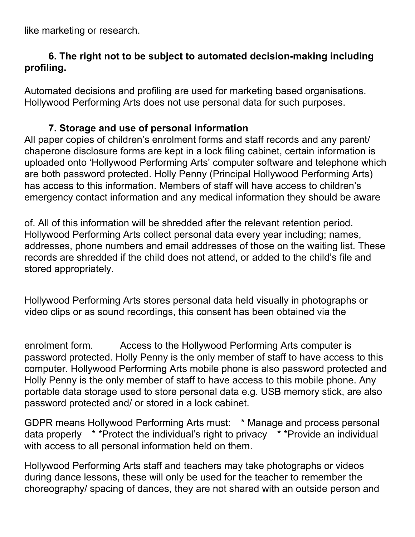like marketing or research.

#### **6. The right not to be subject to automated decision-making including profiling.**

Automated decisions and profiling are used for marketing based organisations. Hollywood Performing Arts does not use personal data for such purposes.

#### **7. Storage and use of personal information**

All paper copies of children's enrolment forms and staff records and any parent/ chaperone disclosure forms are kept in a lock filing cabinet, certain information is uploaded onto 'Hollywood Performing Arts' computer software and telephone which are both password protected. Holly Penny (Principal Hollywood Performing Arts) has access to this information. Members of staff will have access to children's emergency contact information and any medical information they should be aware

of. All of this information will be shredded after the relevant retention period. Hollywood Performing Arts collect personal data every year including; names, addresses, phone numbers and email addresses of those on the waiting list. These records are shredded if the child does not attend, or added to the child's file and stored appropriately.

Hollywood Performing Arts stores personal data held visually in photographs or video clips or as sound recordings, this consent has been obtained via the

enrolment form. Access to the Hollywood Performing Arts computer is password protected. Holly Penny is the only member of staff to have access to this computer. Hollywood Performing Arts mobile phone is also password protected and Holly Penny is the only member of staff to have access to this mobile phone. Any portable data storage used to store personal data e.g. USB memory stick, are also password protected and/ or stored in a lock cabinet.

GDPR means Hollywood Performing Arts must: \* Manage and process personal data properly \* \*Protect the individual's right to privacy \* \*Provide an individual with access to all personal information held on them.

Hollywood Performing Arts staff and teachers may take photographs or videos during dance lessons, these will only be used for the teacher to remember the choreography/ spacing of dances, they are not shared with an outside person and